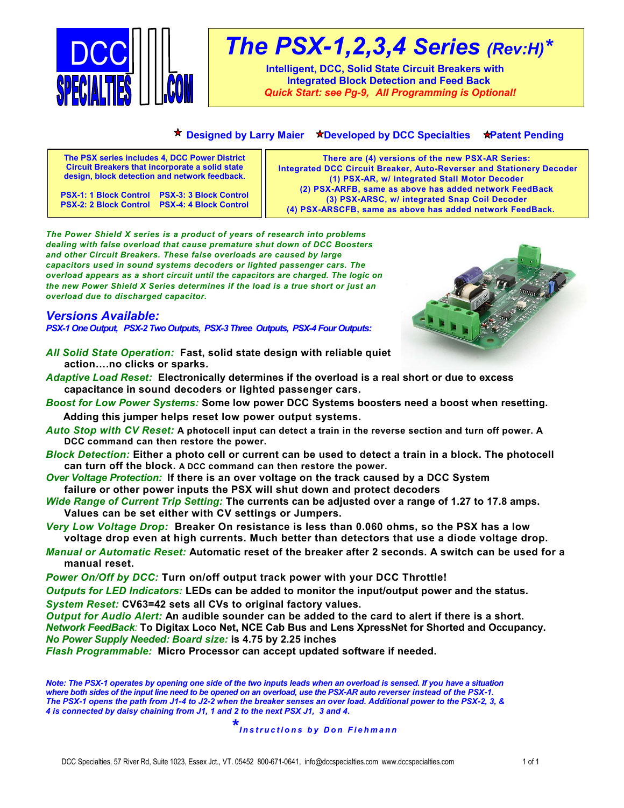

# *The PSX-1,2,3,4 Series (Rev:H)\**

**Intelligent, DCC, Solid State Circuit Breakers with Integrated Block Detection and Feed Back** *Quick Start: see Pg-9, All Programming is Optional!*

## **\* Designed by Larry Maier \*Developed by DCC Specialties \*Patent Pending**

| The PSX series includes 4, DCC Power District                                                  | There are (4) versions of the new PSX-AR Series:                     |
|------------------------------------------------------------------------------------------------|----------------------------------------------------------------------|
| <b>Circuit Breakers that incorporate a solid state</b>                                         | Integrated DCC Circuit Breaker, Auto-Reverser and Stationery Decoder |
| design, block detection and network feedback.                                                  | (1) PSX-AR, w/ integrated Stall Motor Decoder                        |
| PSX-1: 1 Block Control PSX-3: 3 Block Control<br>PSX-2: 2 Block Control PSX-4: 4 Block Control | (2) PSX-ARFB, same as above has added network FeedBack               |
|                                                                                                | (3) PSX-ARSC, w/ integrated Snap Coil Decoder                        |
|                                                                                                | (4) PSX-ARSCFB, same as above has added network FeedBack.            |

*The Power Shield X series is a product of years of research into problems dealing with false overload that cause premature shut down of DCC Boosters and other Circuit Breakers. These false overloads are caused by large capacitors used in sound systems decoders or lighted passenger cars. The overload appears as a short circuit until the capacitors are charged. The logic on the new Power Shield X Series determines if the load is a true short or just an overload due to discharged capacitor.*

# *Versions Available:*

*PSX-1 One Output, PSX-2 Two Outputs, PSX-3 Three Outputs, PSX-4 Four Outputs:*

- 
- *All Solid State Operation:* **Fast, solid state design with reliable quiet action….no clicks or sparks.**
- *Adaptive Load Reset:* **Electronically determines if the overload is a real short or due to excess capacitance in sound decoders or lighted passenger cars.**
- *Boost for Low Power Systems:* **Some low power DCC Systems boosters need a boost when resetting. Adding this jumper helps reset low power output systems.**
- *Auto Stop with CV Reset:* **A photocell input can detect a train in the reverse section and turn off power. A DCC command can then restore the power.**
- *Block Detection:* **Either a photo cell or current can be used to detect a train in a block. The photocell can turn off the block. A DCC command can then restore the power.**
- *Over Voltage Protection:* **If there is an over voltage on the track caused by a DCC System failure or other power inputs the PSX will shut down and protect decoders**
- *Wide Range of Current Trip Setting:* **The currents can be adjusted over a range of 1.27 to 17.8 amps. Values can be set either with CV settings or Jumpers.**
- *Very Low Voltage Drop:* **Breaker On resistance is less than 0.060 ohms, so the PSX has a low voltage drop even at high currents. Much better than detectors that use a diode voltage drop.**
- *Manual or Automatic Reset:* **Automatic reset of the breaker after 2 seconds. A switch can be used for a manual reset.**
- *Power On/Off by DCC:* **Turn on/off output track power with your DCC Throttle!**

*Outputs for LED Indicators:* **LEDs can be added to monitor the input/output power and the status.**

*System Reset:* **CV63=42 sets all CVs to original factory values.**

*Output for Audio Alert:* **An audible sounder can be added to the card to alert if there is a short.** *Network FeedBack:* **To Digitax Loco Net, NCE Cab Bus and Lens XpressNet for Shorted and Occupancy.** *No Power Supply Needed: Board size:* **is 4.75 by 2.25 inches**

*Flash Programmable:* **Micro Processor can accept updated software if needed.**

*Note: The PSX-1 operates by opening one side of the two inputs leads when an overload is sensed. If you have a situation where both sides of the input line need to be opened on an overload, use the PSX-AR auto reverser instead of the PSX-1. The PSX-1 opens the path from J1-4 to J2-2 when the breaker senses an over load. Additional power to the PSX-2, 3, & 4 is connected by daisy chaining from J1, 1 and 2 to the next PSX J1, 3 and 4.*

*\* Instructions by Don Fiehmann*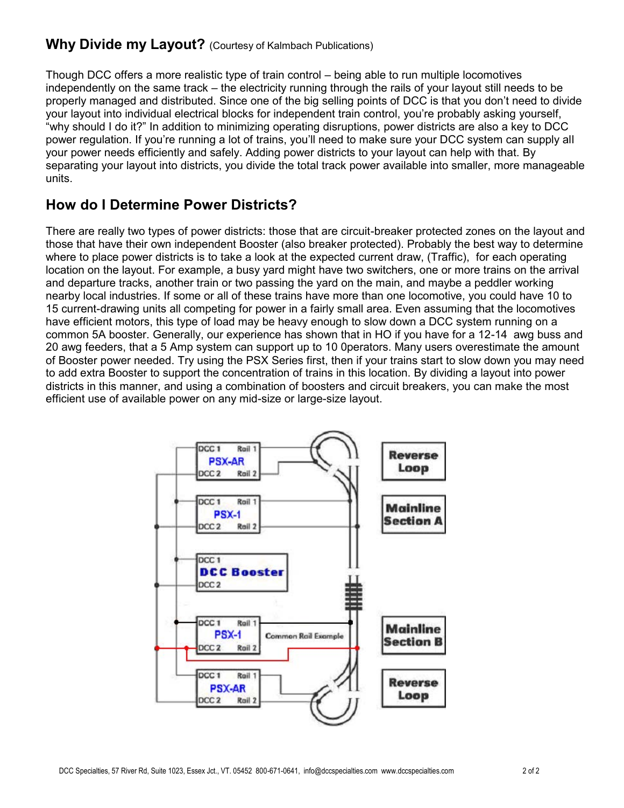# **Why Divide my Layout?** (Courtesy of Kalmbach Publications)

Though DCC offers a more realistic type of train control – being able to run multiple locomotives independently on the same track – the electricity running through the rails of your layout still needs to be properly managed and distributed. Since one of the big selling points of DCC is that you don't need to divide your layout into individual electrical blocks for independent train control, you're probably asking yourself, "why should I do it?" In addition to minimizing operating disruptions, power districts are also a key to DCC power regulation. If you're running a lot of trains, you'll need to make sure your DCC system can supply all your power needs efficiently and safely. Adding power districts to your layout can help with that. By separating your layout into districts, you divide the total track power available into smaller, more manageable units.

# **How do I Determine Power Districts?**

There are really two types of power districts: those that are circuit-breaker protected zones on the layout and those that have their own independent Booster (also breaker protected). Probably the best way to determine where to place power districts is to take a look at the expected current draw, (Traffic), for each operating location on the layout. For example, a busy yard might have two switchers, one or more trains on the arrival and departure tracks, another train or two passing the yard on the main, and maybe a peddler working nearby local industries. If some or all of these trains have more than one locomotive, you could have 10 to 15 current-drawing units all competing for power in a fairly small area. Even assuming that the locomotives have efficient motors, this type of load may be heavy enough to slow down a DCC system running on a common 5A booster. Generally, our experience has shown that in HO if you have for a 12-14 awg buss and 20 awg feeders, that a 5 Amp system can support up to 10 0perators. Many users overestimate the amount of Booster power needed. Try using the PSX Series first, then if your trains start to slow down you may need to add extra Booster to support the concentration of trains in this location. By dividing a layout into power districts in this manner, and using a combination of boosters and circuit breakers, you can make the most efficient use of available power on any mid-size or large-size layout.

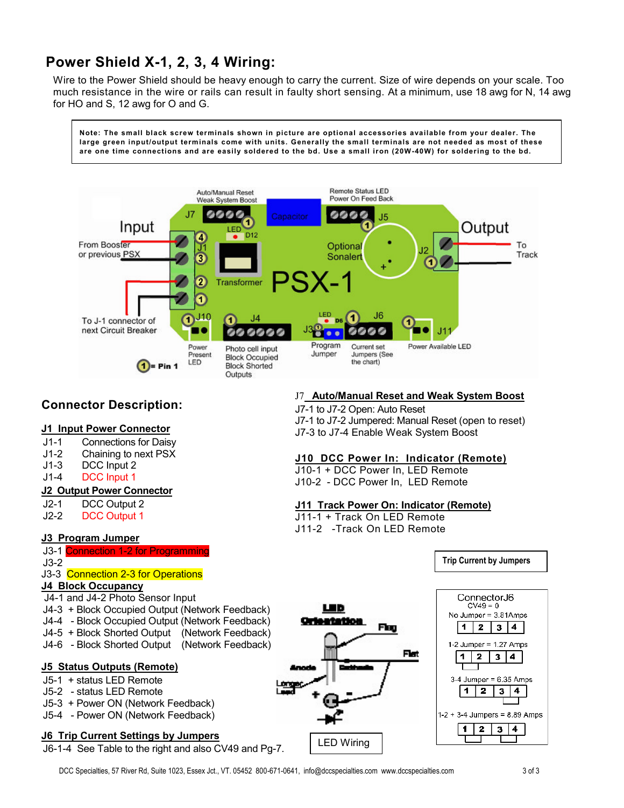# **Power Shield X-1, 2, 3, 4 Wiring:**

Wire to the Power Shield should be heavy enough to carry the current. Size of wire depends on your scale. Too much resistance in the wire or rails can result in faulty short sensing. At a minimum, use 18 awg for N, 14 awg for HO and S, 12 awg for O and G.

**Note: The small black screw terminals shown in picture are optional accessories available from your dealer. The large green input/output terminals come with units. Generally the small terminals are not needed as most of these are one time connections and are easily soldered to the bd. Use a small iron (20W-40W) for soldering to the bd.**



# **Connector Description:**

## **J1 Input Power Connector**

- J1-1 Connections for Daisy
- J1-2 Chaining to next PSX
- J1-3 DCC Input 2
- J1-4 DCC Input 1

## **J2 Output Power Connector**

- J2-1 DCC Output 2
- J2-2 DCC Output 1

## **J3 Program Jumper**

- J3-1 Connection 1-2 for Programming
- J3-2
- J<sub>3</sub>-3 Connection 2-3 for Operations

## **J4 Block Occupancy**

- J4-1 and J4-2 Photo Sensor Input
- J4-3 + Block Occupied Output (Network Feedback)
- J4-4 Block Occupied Output (Network Feedback)
- J4-5 + Block Shorted Output (Network Feedback)
- J4-6 Block Shorted Output (Network Feedback)

#### **J5 Status Outputs (Remote)**

- J5-1 + status LED Remote
- J5-2 status LED Remote
- J5-3 + Power ON (Network Feedback)
- J5-4 Power ON (Network Feedback)

#### **J6 Trip Current Settings by Jumpers**

J6-1-4 See Table to the right and also CV49 and Pg-7.

## J7 **Auto/Manual Reset and Weak System Boost**

J7-1 to J7-2 Open: Auto Reset J7-1 to J7-2 Jumpered: Manual Reset (open to reset) J7-3 to J7-4 Enable Weak System Boost

## **J10 DCC Power In: Indicator (Remote)**

J10-1 + DCC Power In, LED Remote J10-2 - DCC Power In, LED Remote

## **J11 Track Power On: Indicator (Remote)**

- J11-1 + Track On LED Remote
- J11-2 -Track On LED Remote



**Trip Current by Jumpers**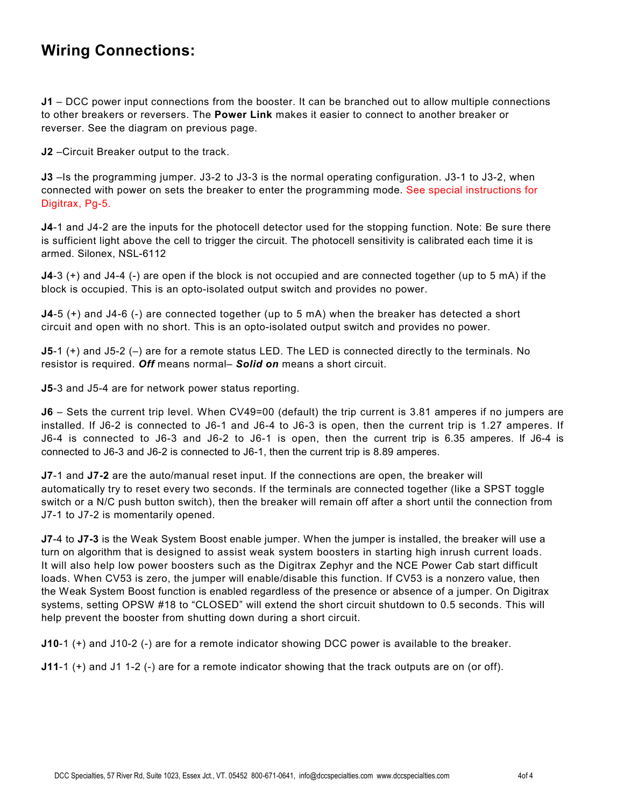# **Wiring Connections:**

**J1** – DCC power input connections from the booster. It can be branched out to allow multiple connections to other breakers or reversers. The **Power Link** makes it easier to connect to another breaker or reverser. See the diagram on previous page.

**J2** –Circuit Breaker output to the track.

**J3** –Is the programming jumper. J3-2 to J3-3 is the normal operating configuration. J3-1 to J3-2, when connected with power on sets the breaker to enter the programming mode. See special instructions for Digitrax, Pg-5.

**J4**-1 and J4-2 are the inputs for the photocell detector used for the stopping function. Note: Be sure there is sufficient light above the cell to trigger the circuit. The photocell sensitivity is calibrated each time it is armed. Silonex, NSL-6112

**J4**-3 (+) and J4-4 (-) are open if the block is not occupied and are connected together (up to 5 mA) if the block is occupied. This is an opto-isolated output switch and provides no power.

**J4**-5 (+) and J4-6 (-) are connected together (up to 5 mA) when the breaker has detected a short circuit and open with no short. This is an opto-isolated output switch and provides no power.

**J5**-1 (+) and J5-2 (-) are for a remote status LED. The LED is connected directly to the terminals. No resistor is required. *Off* means normal– *Solid on* means a short circuit.

**J5**-3 and J5-4 are for network power status reporting.

**J6** – Sets the current trip level. When CV49=00 (default) the trip current is 3.81 amperes if no jumpers are installed. If J6-2 is connected to J6-1 and J6-4 to J6-3 is open, then the current trip is 1.27 amperes. If J6-4 is connected to J6-3 and J6-2 to J6-1 is open, then the current trip is 6.35 amperes. If J6-4 is connected to J6-3 and J6-2 is connected to J6-1, then the current trip is 8.89 amperes.

**J7**-1 and **J7-2** are the auto/manual reset input. If the connections are open, the breaker will automatically try to reset every two seconds. If the terminals are connected together (like a SPST toggle switch or a N/C push button switch), then the breaker will remain off after a short until the connection from J7-1 to J7-2 is momentarily opened.

**J7**-4 to **J7-3** is the Weak System Boost enable jumper. When the jumper is installed, the breaker will use a turn on algorithm that is designed to assist weak system boosters in starting high inrush current loads. It will also help low power boosters such as the Digitrax Zephyr and the NCE Power Cab start difficult loads. When CV53 is zero, the jumper will enable/disable this function. If CV53 is a nonzero value, then the Weak System Boost function is enabled regardless of the presence or absence of a jumper. On Digitrax systems, setting OPSW #18 to "CLOSED" will extend the short circuit shutdown to 0.5 seconds. This will help prevent the booster from shutting down during a short circuit.

**J10**-1 (+) and J10-2 (-) are for a remote indicator showing DCC power is available to the breaker.

**J11**-1 (+) and J1 1-2 (-) are for a remote indicator showing that the track outputs are on (or off).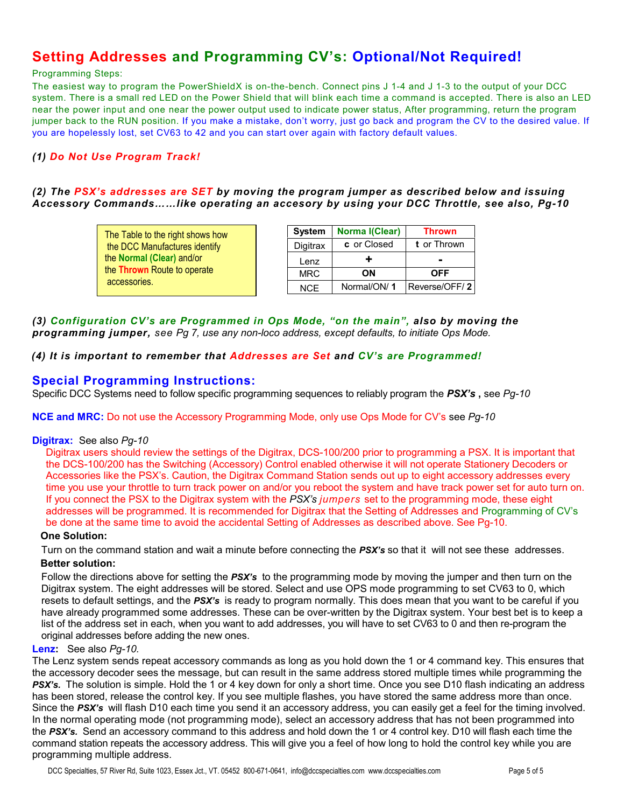# **Setting Addresses and Programming CV's: Optional/Not Required!**

#### Programming Steps:

The easiest way to program the PowerShieldX is on-the-bench. Connect pins J 1-4 and J 1-3 to the output of your DCC system. There is a small red LED on the Power Shield that will blink each time a command is accepted. There is also an LED near the power input and one near the power output used to indicate power status, After programming, return the program jumper back to the RUN position. If you make a mistake, don't worry, just go back and program the CV to the desired value. If you are hopelessly lost, set CV63 to 42 and you can start over again with factory default values.

# *(1) Do Not Use Program Track!*

## *(2) The PSX's addresses are SET by moving the program jumper as described below and issuing Accessory Commands……like operating an accesory by using your DCC Throttle, see also, Pg-10*

| The Table to the right shows how | <b>System</b> | No |
|----------------------------------|---------------|----|
| the DCC Manufactures identify    | Digitrax      | C  |
| the Normal (Clear) and/or        | Lenz          |    |
| the Thrown Route to operate      | <b>MRC</b>    |    |
| accessories.                     | <b>NCE</b>    | N  |

| <b>System</b> | Norma I(Clear) | <b>Thrown</b> |  |
|---------------|----------------|---------------|--|
| Digitrax      | c or Closed    | t or Thrown   |  |
| Lenz          | ÷              |               |  |
| <b>MRC</b>    | OΝ             | <b>OFF</b>    |  |
| NCE.          | Normal/ON/1    | Reverse/OFF/2 |  |

*(3) Configuration CV's are Programmed in Ops Mode, "on the main", also by moving the programming jumper, see Pg 7, use any non-loco address, except defaults, to initiate Ops Mode.*

## *(4) It is important to remember that Addresses are Set and CV's are Programmed!*

# **Special Programming Instructions:**

Specific DCC Systems need to follow specific programming sequences to reliably program the *PSX's* **,** see *Pg-10*

**NCE and MRC:** Do not use the Accessory Programming Mode, only use Ops Mode for CV's see *Pg-10*

#### **Digitrax:** See also *Pg-10*

Digitrax users should review the settings of the Digitrax, DCS-100/200 prior to programming a PSX. It is important that the DCS-100/200 has the Switching (Accessory) Control enabled otherwise it will not operate Stationery Decoders or Accessories like the PSX's. Caution, the Digitrax Command Station sends out up to eight accessory addresses every time you use your throttle to turn track power on and/or you reboot the system and have track power set for auto turn on. If you connect the PSX to the Digitrax system with the *PSX's jumpers* set to the programming mode, these eight addresses will be programmed. It is recommended for Digitrax that the Setting of Addresses and Programming of CV's be done at the same time to avoid the accidental Setting of Addresses as described above. See Pg-10.

#### **One Solution:**

Turn on the command station and wait a minute before connecting the *PSX's* so that it will not see these addresses.

#### **Better solution:**

Follow the directions above for setting the *PSX's* to the programming mode by moving the jumper and then turn on the Digitrax system. The eight addresses will be stored. Select and use OPS mode programming to set CV63 to 0, which resets to default settings, and the *PSX's* is ready to program normally. This does mean that you want to be careful if you have already programmed some addresses. These can be over-written by the Digitrax system. Your best bet is to keep a list of the address set in each, when you want to add addresses, you will have to set CV63 to 0 and then re-program the original addresses before adding the new ones.

#### **Lenz:** See also *Pg-10.*

The Lenz system sends repeat accessory commands as long as you hold down the 1 or 4 command key. This ensures that the accessory decoder sees the message, but can result in the same address stored multiple times while programming the **PSX's.** The solution is simple. Hold the 1 or 4 key down for only a short time. Once you see D10 flash indicating an address has been stored, release the control key. If you see multiple flashes, you have stored the same address more than once. Since the *PSX's* will flash D10 each time you send it an accessory address, you can easily get a feel for the timing involved. In the normal operating mode (not programming mode), select an accessory address that has not been programmed into the *PSX's.* Send an accessory command to this address and hold down the 1 or 4 control key. D10 will flash each time the command station repeats the accessory address. This will give you a feel of how long to hold the control key while you are programming multiple address.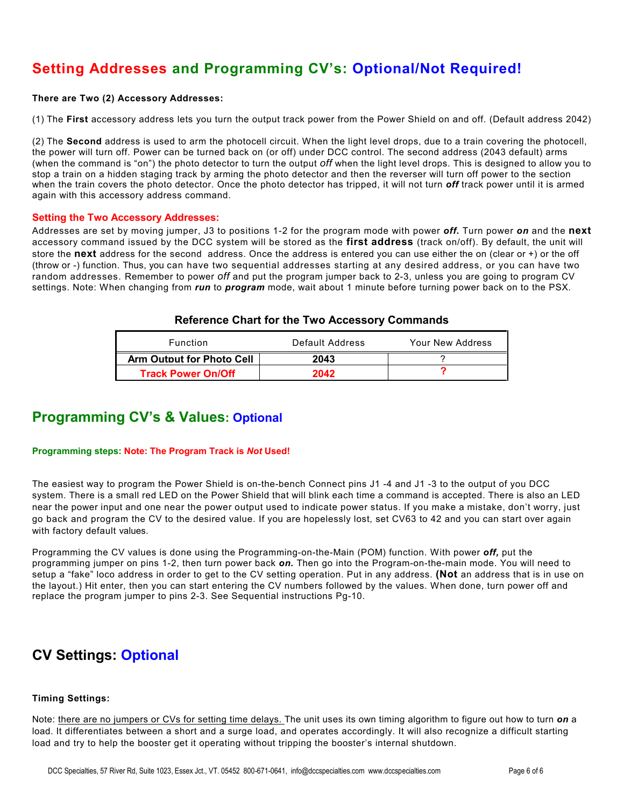# **Setting Addresses and Programming CV's: Optional/Not Required!**

#### **There are Two (2) Accessory Addresses:**

(1) The **First** accessory address lets you turn the output track power from the Power Shield on and off. (Default address 2042)

(2) The **Second** address is used to arm the photocell circuit. When the light level drops, due to a train covering the photocell, the power will turn off. Power can be turned back on (or off) under DCC control. The second address (2043 default) arms (when the command is "on") the photo detector to turn the output *off* when the light level drops. This is designed to allow you to stop a train on a hidden staging track by arming the photo detector and then the reverser will turn off power to the section when the train covers the photo detector. Once the photo detector has tripped, it will not turn *off* track power until it is armed again with this accessory address command.

#### **Setting the Two Accessory Addresses:**

Addresses are set by moving jumper, J3 to positions 1-2 for the program mode with power *off.* Turn power *on* and the **next** accessory command issued by the DCC system will be stored as the **first address** (track on/off). By default, the unit will store the **next** address for the second address. Once the address is entered you can use either the on (clear or +) or the off (throw or -) function. Thus, you can have two sequential addresses starting at any desired address, or you can have two random addresses. Remember to power *off* and put the program jumper back to 2-3, unless you are going to program CV settings. Note: When changing from *run* to *program* mode, wait about 1 minute before turning power back on to the PSX.

## **Reference Chart for the Two Accessory Commands**

| Function                  | Default Address | Your New Address |  |
|---------------------------|-----------------|------------------|--|
| Arm Output for Photo Cell | 2043            |                  |  |
| <b>Track Power On/Off</b> | 2042            |                  |  |

# **Programming CV's & Values: Optional**

#### **Programming steps: Note: The Program Track is** *Not* **Used!**

The easiest way to program the Power Shield is on-the-bench Connect pins J1 -4 and J1 -3 to the output of you DCC system. There is a small red LED on the Power Shield that will blink each time a command is accepted. There is also an LED near the power input and one near the power output used to indicate power status. If you make a mistake, don't worry, just go back and program the CV to the desired value. If you are hopelessly lost, set CV63 to 42 and you can start over again with factory default values.

Programming the CV values is done using the Programming-on-the-Main (POM) function. With power *off,* put the programming jumper on pins 1-2, then turn power back *on.* Then go into the Program-on-the-main mode. You will need to setup a "fake" loco address in order to get to the CV setting operation. Put in any address. **(Not** an address that is in use on the layout.) Hit enter, then you can start entering the CV numbers followed by the values. When done, turn power off and replace the program jumper to pins 2-3. See Sequential instructions Pg-10.

# **CV Settings: Optional**

#### **Timing Settings:**

Note: there are no jumpers or CVs for setting time delays. The unit uses its own timing algorithm to figure out how to turn *on* a load. It differentiates between a short and a surge load, and operates accordingly. It will also recognize a difficult starting load and try to help the booster get it operating without tripping the booster's internal shutdown.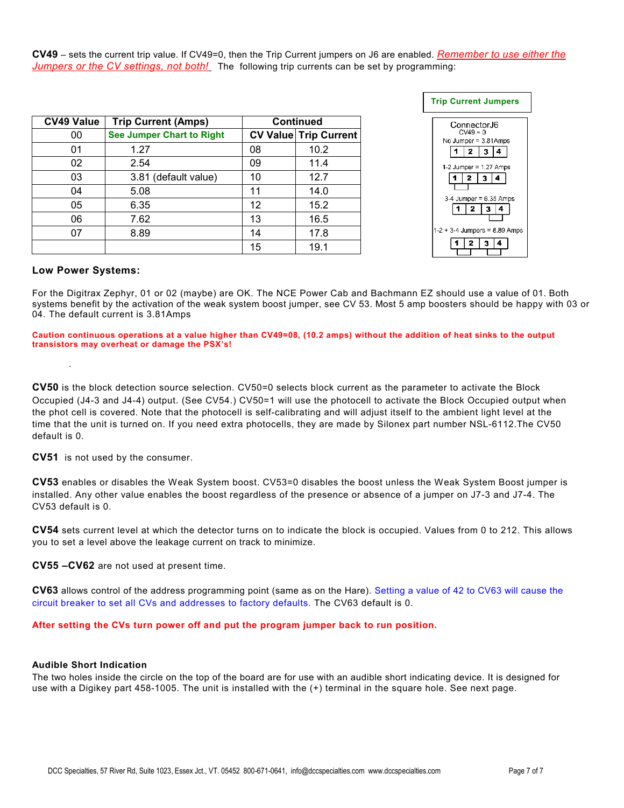**CV49** – sets the current trip value. If CV49=0, then the Trip Current jumpers on J6 are enabled. *Remember to use either the Jumpers or the CV settings, not both!* The following trip currents can be set by programming:

| <b>CV49 Value</b> | <b>Trip Current (Amps)</b>       |    | <b>Continued</b>             |
|-------------------|----------------------------------|----|------------------------------|
| 00                | <b>See Jumper Chart to Right</b> |    | <b>CV Value Trip Current</b> |
| 01                | 1.27                             | 08 | 10.2                         |
| 02                | 2.54                             | 09 | 11.4                         |
| 03                | 3.81 (default value)             | 10 | 12.7                         |
| 04                | 5.08                             | 11 | 14.0                         |
| 05                | 6.35                             | 12 | 15.2                         |
| 06                | 7.62                             | 13 | 16.5                         |
| 07                | 8.89                             | 14 | 17.8                         |
|                   |                                  | 15 | 19.1                         |



#### **Low Power Systems:**

.

For the Digitrax Zephyr, 01 or 02 (maybe) are OK. The NCE Power Cab and Bachmann EZ should use a value of 01. Both systems benefit by the activation of the weak system boost jumper, see CV 53. Most 5 amp boosters should be happy with 03 or 04. The default current is 3.81Amps

**Caution continuous operations at a value higher than CV49=08, (10.2 amps) without the addition of heat sinks to the output transistors may overheat or damage the PSX's!**

**CV50** is the block detection source selection. CV50=0 selects block current as the parameter to activate the Block Occupied (J4-3 and J4-4) output. (See CV54.) CV50=1 will use the photocell to activate the Block Occupied output when the phot cell is covered. Note that the photocell is self-calibrating and will adjust itself to the ambient light level at the time that the unit is turned on. If you need extra photocells, they are made by Silonex part number NSL-6112.The CV50 default is 0.

**CV51** is not used by the consumer.

**CV53** enables or disables the Weak System boost. CV53=0 disables the boost unless the Weak System Boost jumper is installed. Any other value enables the boost regardless of the presence or absence of a jumper on J7-3 and J7-4. The CV53 default is 0.

**CV54** sets current level at which the detector turns on to indicate the block is occupied. Values from 0 to 212. This allows you to set a level above the leakage current on track to minimize.

**CV55 –CV62** are not used at present time.

**CV63** allows control of the address programming point (same as on the Hare). Setting a value of 42 to CV63 will cause the circuit breaker to set all CVs and addresses to factory defaults. The CV63 default is 0.

#### **After setting the CVs turn power off and put the program jumper back to run position.**

#### **Audible Short Indication**

The two holes inside the circle on the top of the board are for use with an audible short indicating device. It is designed for use with a Digikey part 458-1005. The unit is installed with the (+) terminal in the square hole. See next page.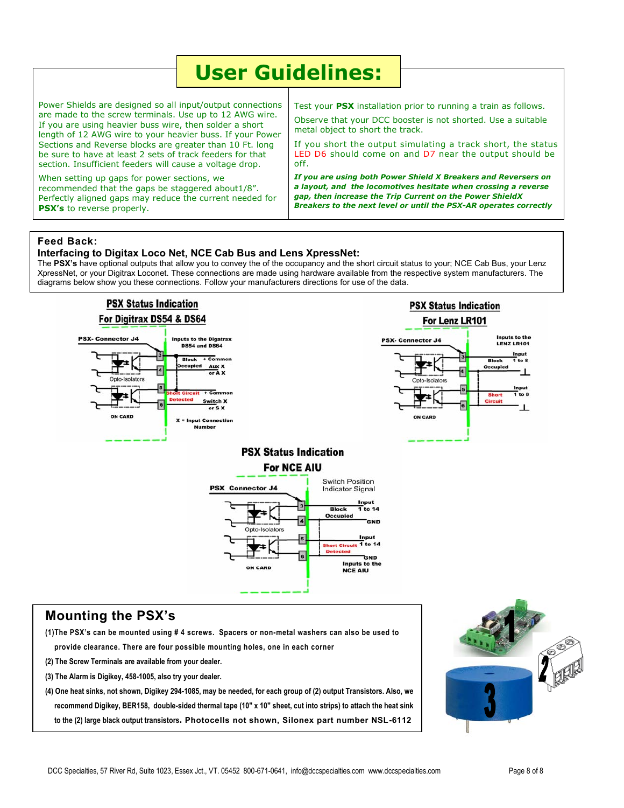| <b>User Guidelines:</b>                                                                                                                                                                                                                                                                                                                                                                                                            |                                                                                                                                                                                                                                                                                                       |  |
|------------------------------------------------------------------------------------------------------------------------------------------------------------------------------------------------------------------------------------------------------------------------------------------------------------------------------------------------------------------------------------------------------------------------------------|-------------------------------------------------------------------------------------------------------------------------------------------------------------------------------------------------------------------------------------------------------------------------------------------------------|--|
| Power Shields are designed so all input/output connections<br>are made to the screw terminals. Use up to 12 AWG wire.<br>If you are using heavier buss wire, then solder a short<br>length of 12 AWG wire to your heavier buss. If your Power<br>Sections and Reverse blocks are greater than 10 Ft. long<br>be sure to have at least 2 sets of track feeders for that<br>section. Insufficient feeders will cause a voltage drop. | Test your PSX installation prior to running a train as follows.<br>Observe that your DCC booster is not shorted. Use a suitable<br>metal object to short the track.<br>If you short the output simulating a track short, the status<br>LED D6 should come on and D7 near the output should be<br>off. |  |
| When setting up gaps for power sections, we<br>recommended that the gaps be staggered about1/8".<br>Perfectly aligned gaps may reduce the current needed for<br><b>PSX's</b> to reverse properly.                                                                                                                                                                                                                                  | If you are using both Power Shield X Breakers and Reversers on<br>a layout, and the locomotives hesitate when crossing a reverse<br>gap, then increase the Trip Current on the Power ShieldX<br>Breakers to the next level or until the PSX-AR operates correctly                                     |  |

#### **Feed Back:**

#### **Interfacing to Digitax Loco Net, NCE Cab Bus and Lens XpressNet:**

The PSX's have optional outputs that allow you to convey the of the occupancy and the short circuit status to your; NCE Cab Bus, your Lenz XpressNet, or your Digitrax Loconet. These connections are made using hardware available from the respective system manufacturers. The diagrams below show you these connections. Follow your manufacturers directions for use of the data.



# **Mounting the PSX's**

**(1)The PSX's can be mounted using # 4 screws. Spacers or non-metal washers can also be used to provide clearance. There are four possible mounting holes, one in each corner**

**(2) The Screw Terminals are available from your dealer.**

**(3) The Alarm is Digikey, 458-1005, also try your dealer.**

**(4) One heat sinks, not shown, Digikey 294-1085, may be needed, for each group of (2) output Transistors. Also, we recommend Digikey, BER158, double-sided thermal tape (10" x 10" sheet, cut into strips) to attach the heat sink to the (2) large black output transistors. Photocells not shown, Silonex part number NSL-6112**

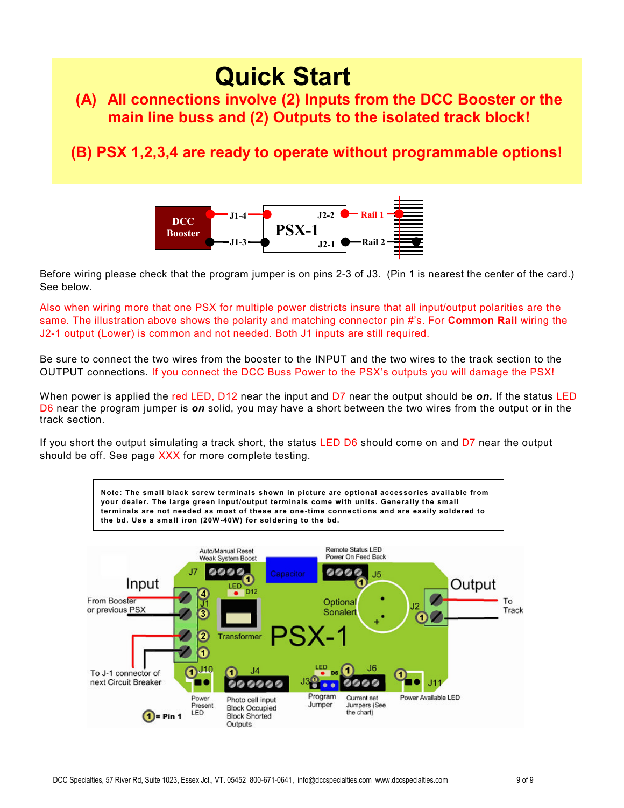# **Quick Start**

# **(A) All connections involve (2) Inputs from the DCC Booster or the main line buss and (2) Outputs to the isolated track block!**

# **(B) PSX 1,2,3,4 are ready to operate without programmable options!**



Before wiring please check that the program jumper is on pins 2-3 of J3. (Pin 1 is nearest the center of the card.) See below.

Also when wiring more that one PSX for multiple power districts insure that all input/output polarities are the same. The illustration above shows the polarity and matching connector pin #'s. For **Common Rail** wiring the J2-1 output (Lower) is common and not needed. Both J1 inputs are still required.

Be sure to connect the two wires from the booster to the INPUT and the two wires to the track section to the OUTPUT connections. If you connect the DCC Buss Power to the PSX's outputs you will damage the PSX!

When power is applied the red LED, D12 near the input and D7 near the output should be *on.* If the status LED D6 near the program jumper is *on* solid, you may have a short between the two wires from the output or in the track section.

If you short the output simulating a track short, the status LED D6 should come on and D7 near the output should be off. See page XXX for more complete testing.